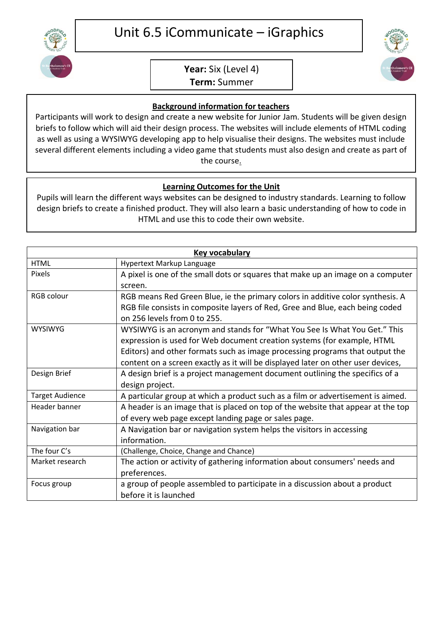

## **Year:** Six (Level 4)

**Term:** Summer

## **Background information for teachers**

Participants will work to design and create a new website for Junior Jam. Students will be given design briefs to follow which will aid their design process. The websites will include elements of HTML coding as well as using a WYSIWYG developing app to help visualise their designs. The websites must include several different elements including a video game that students must also design and create as part of the course.

## **Learning Outcomes for the Unit**

Pupils will learn the different ways websites can be designed to industry standards. Learning to follow design briefs to create a finished product. They will also learn a basic understanding of how to code in HTML and use this to code their own website.

| Key vocabulary         |                                                                                  |
|------------------------|----------------------------------------------------------------------------------|
| <b>HTML</b>            | Hypertext Markup Language                                                        |
| Pixels                 | A pixel is one of the small dots or squares that make up an image on a computer  |
|                        | screen.                                                                          |
| RGB colour             | RGB means Red Green Blue, ie the primary colors in additive color synthesis. A   |
|                        | RGB file consists in composite layers of Red, Gree and Blue, each being coded    |
|                        | on 256 levels from 0 to 255.                                                     |
| <b>WYSIWYG</b>         | WYSIWYG is an acronym and stands for "What You See Is What You Get." This        |
|                        | expression is used for Web document creation systems (for example, HTML          |
|                        | Editors) and other formats such as image processing programs that output the     |
|                        | content on a screen exactly as it will be displayed later on other user devices, |
| Design Brief           | A design brief is a project management document outlining the specifics of a     |
|                        | design project.                                                                  |
| <b>Target Audience</b> | A particular group at which a product such as a film or advertisement is aimed.  |
| Header banner          | A header is an image that is placed on top of the website that appear at the top |
|                        | of every web page except landing page or sales page.                             |
| Navigation bar         | A Navigation bar or navigation system helps the visitors in accessing            |
|                        | information.                                                                     |
| The four C's           | (Challenge, Choice, Change and Chance)                                           |
| Market research        | The action or activity of gathering information about consumers' needs and       |
|                        | preferences.                                                                     |
| Focus group            | a group of people assembled to participate in a discussion about a product       |
|                        | before it is launched                                                            |